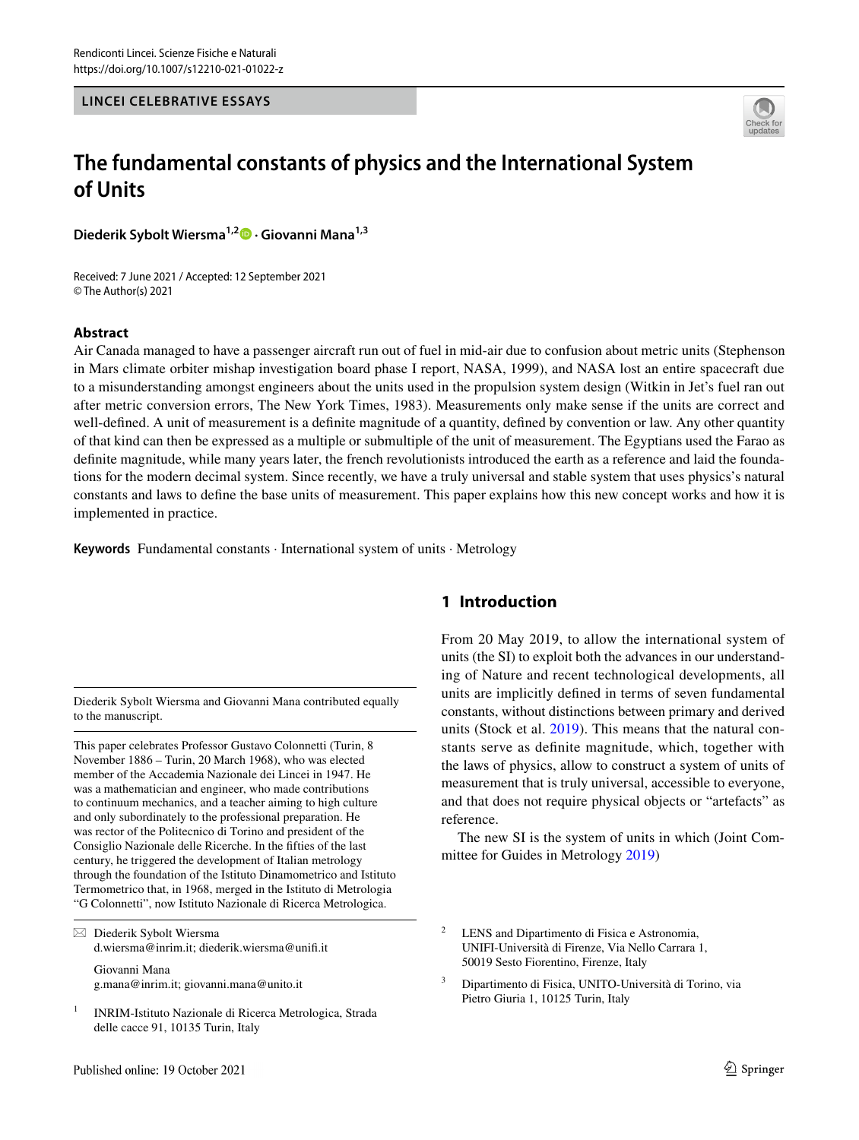#### **LINCEI CELEBRATIVE ESSAYS**



# **The fundamental constants of physics and the International System of Units**

**Diederik Sybolt Wiersma1,2  [·](http://orcid.org/0000-0001-8150-7425) Giovanni Mana1,3**

Received: 7 June 2021 / Accepted: 12 September 2021 © The Author(s) 2021

#### **Abstract**

Air Canada managed to have a passenger aircraft run out of fuel in mid-air due to confusion about metric units (Stephenson in Mars climate orbiter mishap investigation board phase I report, NASA, 1999), and NASA lost an entire spacecraft due to a misunderstanding amongst engineers about the units used in the propulsion system design (Witkin in Jet's fuel ran out after metric conversion errors, The New York Times, 1983). Measurements only make sense if the units are correct and well-defined. A unit of measurement is a definite magnitude of a quantity, defined by convention or law. Any other quantity of that kind can then be expressed as a multiple or submultiple of the unit of measurement. The Egyptians used the Farao as defnite magnitude, while many years later, the french revolutionists introduced the earth as a reference and laid the foundations for the modern decimal system. Since recently, we have a truly universal and stable system that uses physics's natural constants and laws to defne the base units of measurement. This paper explains how this new concept works and how it is implemented in practice.

**Keywords** Fundamental constants · International system of units · Metrology

Diederik Sybolt Wiersma and Giovanni Mana contributed equally to the manuscript.

This paper celebrates Professor Gustavo Colonnetti (Turin, 8 November 1886 – Turin, 20 March 1968), who was elected member of the Accademia Nazionale dei Lincei in 1947. He was a mathematician and engineer, who made contributions to continuum mechanics, and a teacher aiming to high culture and only subordinately to the professional preparation. He was rector of the Politecnico di Torino and president of the Consiglio Nazionale delle Ricerche. In the ffties of the last century, he triggered the development of Italian metrology through the foundation of the Istituto Dinamometrico and Istituto Termometrico that, in 1968, merged in the Istituto di Metrologia "G Colonnetti", now Istituto Nazionale di Ricerca Metrologica.

 $\boxtimes$  Diederik Sybolt Wiersma d.wiersma@inrim.it; diederik.wiersma@unif.it

Giovanni Mana g.mana@inrim.it; giovanni.mana@unito.it

<sup>1</sup> INRIM-Istituto Nazionale di Ricerca Metrologica, Strada delle cacce 91, 10135 Turin, Italy

# **1 Introduction**

From 20 May 2019, to allow the international system of units (the SI) to exploit both the advances in our understanding of Nature and recent technological developments, all units are implicitly defned in terms of seven fundamental constants, without distinctions between primary and derived units (Stock et al. [2019\)](#page-8-0). This means that the natural constants serve as defnite magnitude, which, together with the laws of physics, allow to construct a system of units of measurement that is truly universal, accessible to everyone, and that does not require physical objects or "artefacts" as reference.

The new SI is the system of units in which (Joint Committee for Guides in Metrology [2019](#page-7-0))

<sup>2</sup> LENS and Dipartimento di Fisica e Astronomia, UNIFI-Università di Firenze, Via Nello Carrara 1, 50019 Sesto Fiorentino, Firenze, Italy

<sup>3</sup> Dipartimento di Fisica, UNITO-Università di Torino, via Pietro Giuria 1, 10125 Turin, Italy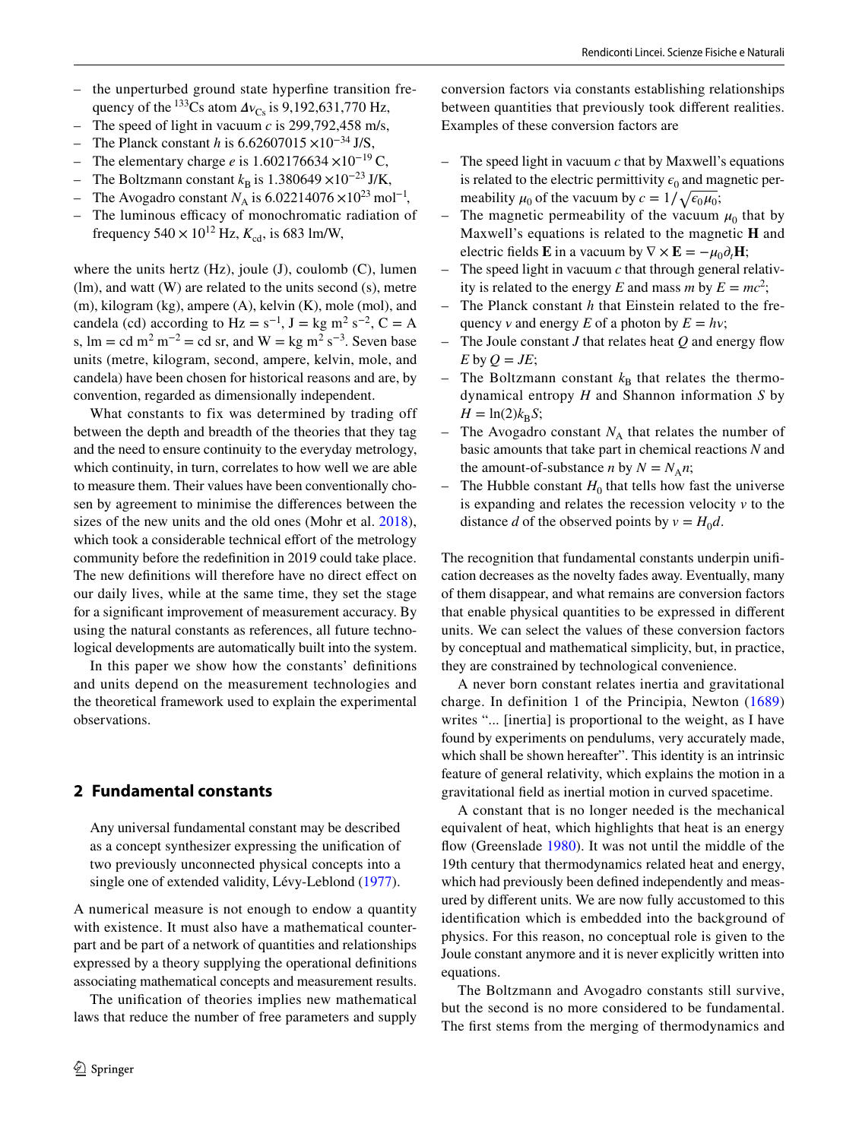- the unperturbed ground state hyperfne transition frequency of the <sup>133</sup>Cs atom  $\Delta v_{\text{Cs}}$  is 9,192,631,770 Hz,
- The speed of light in vacuum  $c$  is 299,792,458 m/s,
- The Planck constant *h* is 6.62607015 ×10<sup>-34</sup> J/S,
- The elementary charge *e* is 1.602176634 ×10<sup>−</sup>19 C,
- The Boltzmann constant  $k_B$  is 1.380649 ×10<sup>-23</sup> J/K,
- The Avogadro constant  $N_A$  is 6.02214076 ×10<sup>23</sup> mol<sup>-1</sup>,
- The luminous efficacy of monochromatic radiation of frequency  $540 \times 10^{12}$  Hz,  $K_{cd}$ , is 683 lm/W,

where the units hertz  $(Hz)$ , joule  $(J)$ , coulomb  $(C)$ , lumen (lm), and watt (W) are related to the units second (s), metre (m), kilogram (kg), ampere (A), kelvin (K), mole (mol), and candela (cd) according to  $Hz = s^{-1}$ ,  $J = kg m^2 s^{-2}$ ,  $C = A$ s,  $\text{Im} = \text{cd} \text{ m}^2 \text{ m}^{-2} = \text{cd} \text{ sr}$ , and  $\text{W} = \text{kg} \text{ m}^2 \text{ s}^{-3}$ . Seven base units (metre, kilogram, second, ampere, kelvin, mole, and candela) have been chosen for historical reasons and are, by convention, regarded as dimensionally independent.

What constants to fix was determined by trading off between the depth and breadth of the theories that they tag and the need to ensure continuity to the everyday metrology, which continuity, in turn, correlates to how well we are able to measure them. Their values have been conventionally chosen by agreement to minimise the diferences between the sizes of the new units and the old ones (Mohr et al. [2018](#page-7-1)), which took a considerable technical effort of the metrology community before the redefnition in 2019 could take place. The new definitions will therefore have no direct effect on our daily lives, while at the same time, they set the stage for a signifcant improvement of measurement accuracy. By using the natural constants as references, all future technological developments are automatically built into the system.

In this paper we show how the constants' defnitions and units depend on the measurement technologies and the theoretical framework used to explain the experimental observations.

## <span id="page-1-0"></span>**2 Fundamental constants**

Any universal fundamental constant may be described as a concept synthesizer expressing the unifcation of two previously unconnected physical concepts into a single one of extended validity, Lévy-Leblond ([1977\)](#page-7-2).

A numerical measure is not enough to endow a quantity with existence. It must also have a mathematical counterpart and be part of a network of quantities and relationships expressed by a theory supplying the operational defnitions associating mathematical concepts and measurement results.

The unifcation of theories implies new mathematical laws that reduce the number of free parameters and supply conversion factors via constants establishing relationships between quantities that previously took diferent realities. Examples of these conversion factors are

- The speed light in vacuum *c* that by Maxwell's equations is related to the electric permittivity  $\epsilon_0$  and magnetic permeability  $\mu_0$  of the vacuum by  $c = 1/\sqrt{\epsilon_0 \mu_0}$ ;
- The magnetic permeability of the vacuum  $\mu_0$  that by Maxwell's equations is related to the magnetic **H** and electric fields **E** in a vacuum by  $\nabla \times \mathbf{E} = -\mu_0 \partial_t \mathbf{H}$ ;
- The speed light in vacuum *c* that through general relativity is related to the energy *E* and mass *m* by  $E = mc^2$ ;
- The Planck constant *h* that Einstein related to the frequency *v* and energy *E* of a photon by  $E = hv$ ;
- The Joule constant *J* that relates heat *Q* and energy fow  $E$  by  $Q = JE$ ;
- The Boltzmann constant  $k_B$  that relates the thermodynamical entropy *H* and Shannon information *S* by  $H = \ln(2)k_B S$ ;
- The Avogadro constant  $N_A$  that relates the number of basic amounts that take part in chemical reactions *N* and the amount-of-substance *n* by  $N = N_A n$ ;
- The Hubble constant  $H_0$  that tells how fast the universe is expanding and relates the recession velocity  $\nu$  to the distance *d* of the observed points by  $v = H_0 d$ .

The recognition that fundamental constants underpin unifcation decreases as the novelty fades away. Eventually, many of them disappear, and what remains are conversion factors that enable physical quantities to be expressed in diferent units. We can select the values of these conversion factors by conceptual and mathematical simplicity, but, in practice, they are constrained by technological convenience.

A never born constant relates inertia and gravitational charge. In definition 1 of the Principia, Newton ([1689\)](#page-7-3) writes "... [inertia] is proportional to the weight, as I have found by experiments on pendulums, very accurately made, which shall be shown hereafter". This identity is an intrinsic feature of general relativity, which explains the motion in a gravitational feld as inertial motion in curved spacetime.

A constant that is no longer needed is the mechanical equivalent of heat, which highlights that heat is an energy flow (Greenslade [1980\)](#page-7-4). It was not until the middle of the 19th century that thermodynamics related heat and energy, which had previously been defned independently and measured by diferent units. We are now fully accustomed to this identifcation which is embedded into the background of physics. For this reason, no conceptual role is given to the Joule constant anymore and it is never explicitly written into equations.

The Boltzmann and Avogadro constants still survive, but the second is no more considered to be fundamental. The frst stems from the merging of thermodynamics and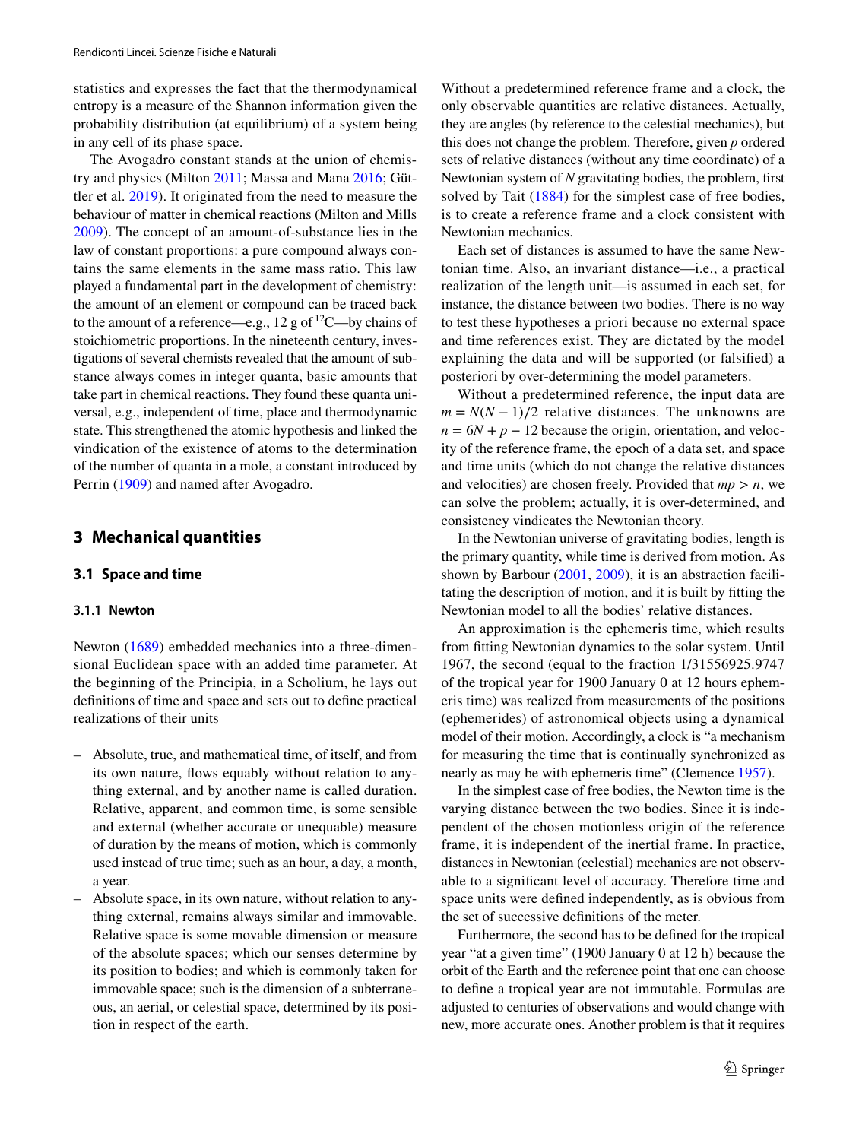statistics and expresses the fact that the thermodynamical entropy is a measure of the Shannon information given the probability distribution (at equilibrium) of a system being in any cell of its phase space.

The Avogadro constant stands at the union of chemistry and physics (Milton [2011;](#page-7-5) Massa and Mana [2016](#page-7-6); Güttler et al. [2019\)](#page-7-7). It originated from the need to measure the behaviour of matter in chemical reactions (Milton and Mills [2009\)](#page-7-8). The concept of an amount-of-substance lies in the law of constant proportions: a pure compound always contains the same elements in the same mass ratio. This law played a fundamental part in the development of chemistry: the amount of an element or compound can be traced back to the amount of a reference—e.g., 12 g of  ${}^{12}$ C—by chains of stoichiometric proportions. In the nineteenth century, investigations of several chemists revealed that the amount of substance always comes in integer quanta, basic amounts that take part in chemical reactions. They found these quanta universal, e.g., independent of time, place and thermodynamic state. This strengthened the atomic hypothesis and linked the vindication of the existence of atoms to the determination of the number of quanta in a mole, a constant introduced by Perrin ([1909](#page-8-1)) and named after Avogadro.

#### **3 Mechanical quantities**

#### **3.1 Space and time**

#### **3.1.1 Newton**

Newton ([1689](#page-7-3)) embedded mechanics into a three-dimensional Euclidean space with an added time parameter. At the beginning of the Principia, in a Scholium, he lays out defnitions of time and space and sets out to defne practical realizations of their units

- Absolute, true, and mathematical time, of itself, and from its own nature, flows equably without relation to anything external, and by another name is called duration. Relative, apparent, and common time, is some sensible and external (whether accurate or unequable) measure of duration by the means of motion, which is commonly used instead of true time; such as an hour, a day, a month, a year.
- Absolute space, in its own nature, without relation to anything external, remains always similar and immovable. Relative space is some movable dimension or measure of the absolute spaces; which our senses determine by its position to bodies; and which is commonly taken for immovable space; such is the dimension of a subterraneous, an aerial, or celestial space, determined by its position in respect of the earth.

Without a predetermined reference frame and a clock, the only observable quantities are relative distances. Actually, they are angles (by reference to the celestial mechanics), but this does not change the problem. Therefore, given *p* ordered sets of relative distances (without any time coordinate) of a Newtonian system of *N* gravitating bodies, the problem, frst solved by Tait ([1884](#page-8-2)) for the simplest case of free bodies, is to create a reference frame and a clock consistent with Newtonian mechanics.

Each set of distances is assumed to have the same Newtonian time. Also, an invariant distance—i.e., a practical realization of the length unit—is assumed in each set, for instance, the distance between two bodies. There is no way to test these hypotheses a priori because no external space and time references exist. They are dictated by the model explaining the data and will be supported (or falsifed) a posteriori by over-determining the model parameters.

Without a predetermined reference, the input data are  $m = N(N-1)/2$  relative distances. The unknowns are  $n = 6N + p - 12$  because the origin, orientation, and velocity of the reference frame, the epoch of a data set, and space and time units (which do not change the relative distances and velocities) are chosen freely. Provided that  $mp > n$ , we can solve the problem; actually, it is over-determined, and consistency vindicates the Newtonian theory.

In the Newtonian universe of gravitating bodies, length is the primary quantity, while time is derived from motion. As shown by Barbour [\(2001,](#page-7-9) [2009](#page-7-10)), it is an abstraction facilitating the description of motion, and it is built by ftting the Newtonian model to all the bodies' relative distances.

An approximation is the ephemeris time, which results from ftting Newtonian dynamics to the solar system. Until 1967, the second (equal to the fraction 1/31556925.9747 of the tropical year for 1900 January 0 at 12 hours ephemeris time) was realized from measurements of the positions (ephemerides) of astronomical objects using a dynamical model of their motion. Accordingly, a clock is "a mechanism for measuring the time that is continually synchronized as nearly as may be with ephemeris time" (Clemence [1957\)](#page-7-11).

In the simplest case of free bodies, the Newton time is the varying distance between the two bodies. Since it is independent of the chosen motionless origin of the reference frame, it is independent of the inertial frame. In practice, distances in Newtonian (celestial) mechanics are not observable to a signifcant level of accuracy. Therefore time and space units were defned independently, as is obvious from the set of successive defnitions of the meter.

Furthermore, the second has to be defned for the tropical year "at a given time" (1900 January 0 at 12 h) because the orbit of the Earth and the reference point that one can choose to defne a tropical year are not immutable. Formulas are adjusted to centuries of observations and would change with new, more accurate ones. Another problem is that it requires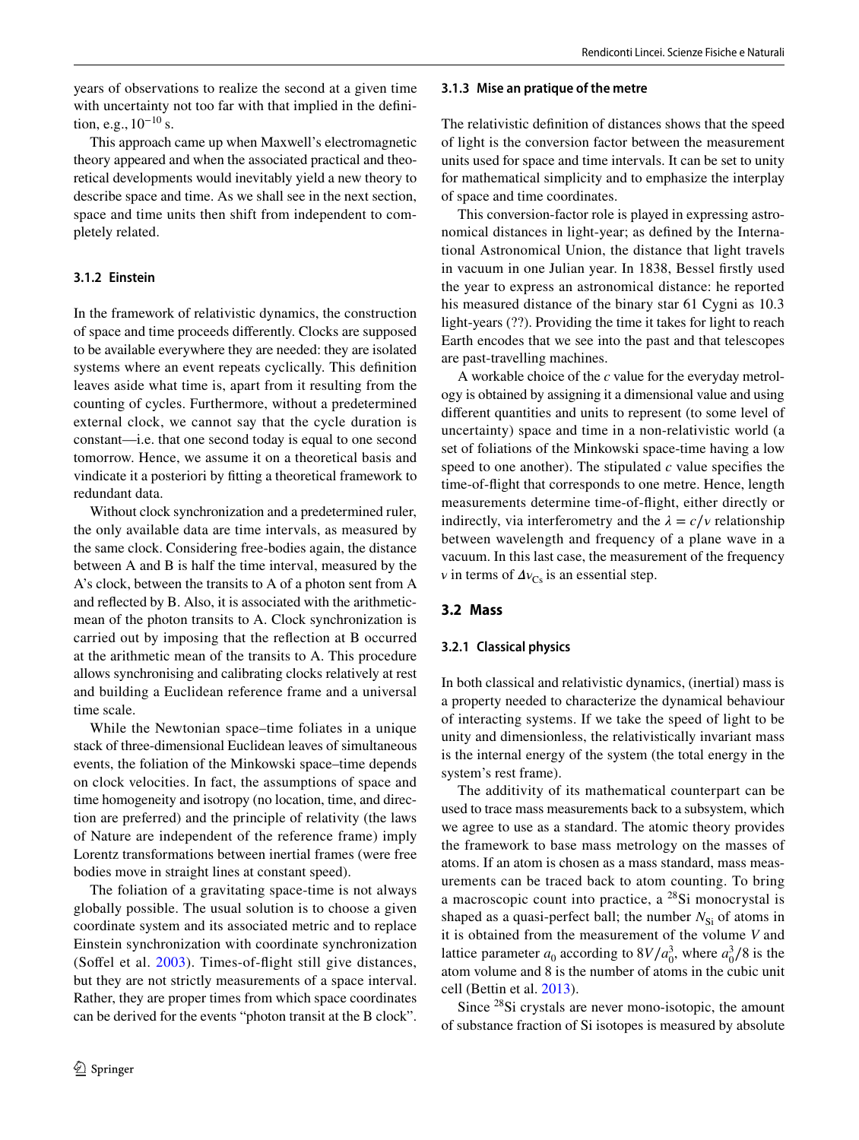years of observations to realize the second at a given time with uncertainty not too far with that implied in the defnition, e.g., 10<sup>−</sup>10 s.

This approach came up when Maxwell's electromagnetic theory appeared and when the associated practical and theoretical developments would inevitably yield a new theory to describe space and time. As we shall see in the next section, space and time units then shift from independent to completely related.

#### **3.1.2 Einstein**

In the framework of relativistic dynamics, the construction of space and time proceeds diferently. Clocks are supposed to be available everywhere they are needed: they are isolated systems where an event repeats cyclically. This defnition leaves aside what time is, apart from it resulting from the counting of cycles. Furthermore, without a predetermined external clock, we cannot say that the cycle duration is constant—i.e. that one second today is equal to one second tomorrow. Hence, we assume it on a theoretical basis and vindicate it a posteriori by ftting a theoretical framework to redundant data.

Without clock synchronization and a predetermined ruler, the only available data are time intervals, as measured by the same clock. Considering free-bodies again, the distance between A and B is half the time interval, measured by the A's clock, between the transits to A of a photon sent from A and refected by B. Also, it is associated with the arithmeticmean of the photon transits to A. Clock synchronization is carried out by imposing that the refection at B occurred at the arithmetic mean of the transits to A. This procedure allows synchronising and calibrating clocks relatively at rest and building a Euclidean reference frame and a universal time scale.

While the Newtonian space–time foliates in a unique stack of three-dimensional Euclidean leaves of simultaneous events, the foliation of the Minkowski space–time depends on clock velocities. In fact, the assumptions of space and time homogeneity and isotropy (no location, time, and direction are preferred) and the principle of relativity (the laws of Nature are independent of the reference frame) imply Lorentz transformations between inertial frames (were free bodies move in straight lines at constant speed).

The foliation of a gravitating space-time is not always globally possible. The usual solution is to choose a given coordinate system and its associated metric and to replace Einstein synchronization with coordinate synchronization (Soffel et al. [2003](#page-8-3)). Times-of-flight still give distances, but they are not strictly measurements of a space interval. Rather, they are proper times from which space coordinates can be derived for the events "photon transit at the B clock".

#### **3.1.3 Mise an pratique of the metre**

The relativistic defnition of distances shows that the speed of light is the conversion factor between the measurement units used for space and time intervals. It can be set to unity for mathematical simplicity and to emphasize the interplay of space and time coordinates.

This conversion-factor role is played in expressing astronomical distances in light-year; as defned by the International Astronomical Union, the distance that light travels in vacuum in one Julian year. In 1838, Bessel frstly used the year to express an astronomical distance: he reported his measured distance of the binary star 61 Cygni as 10.3 light-years (??). Providing the time it takes for light to reach Earth encodes that we see into the past and that telescopes are past-travelling machines.

A workable choice of the *c* value for the everyday metrology is obtained by assigning it a dimensional value and using diferent quantities and units to represent (to some level of uncertainty) space and time in a non-relativistic world (a set of foliations of the Minkowski space-time having a low speed to one another). The stipulated  $c$  value specifies the time-of-fight that corresponds to one metre. Hence, length measurements determine time-of-fight, either directly or indirectly, via interferometry and the  $\lambda = c/v$  relationship between wavelength and frequency of a plane wave in a vacuum. In this last case, the measurement of the frequency  $\nu$  in terms of  $\Delta v_{\text{Cs}}$  is an essential step.

## **3.2 Mass**

## **3.2.1 Classical physics**

In both classical and relativistic dynamics, (inertial) mass is a property needed to characterize the dynamical behaviour of interacting systems. If we take the speed of light to be unity and dimensionless, the relativistically invariant mass is the internal energy of the system (the total energy in the system's rest frame).

The additivity of its mathematical counterpart can be used to trace mass measurements back to a subsystem, which we agree to use as a standard. The atomic theory provides the framework to base mass metrology on the masses of atoms. If an atom is chosen as a mass standard, mass measurements can be traced back to atom counting. To bring a macroscopic count into practice, a 28Si monocrystal is shaped as a quasi-perfect ball; the number  $N_{\rm Si}$  of atoms in it is obtained from the measurement of the volume *V* and lattice parameter *a*<sub>0</sub> according to  $8V/a_0^3$ , where  $a_0^3/8$  is the atom volume and 8 is the number of atoms in the cubic unit cell (Bettin et al. [2013\)](#page-7-12).

Since 28Si crystals are never mono-isotopic, the amount of substance fraction of Si isotopes is measured by absolute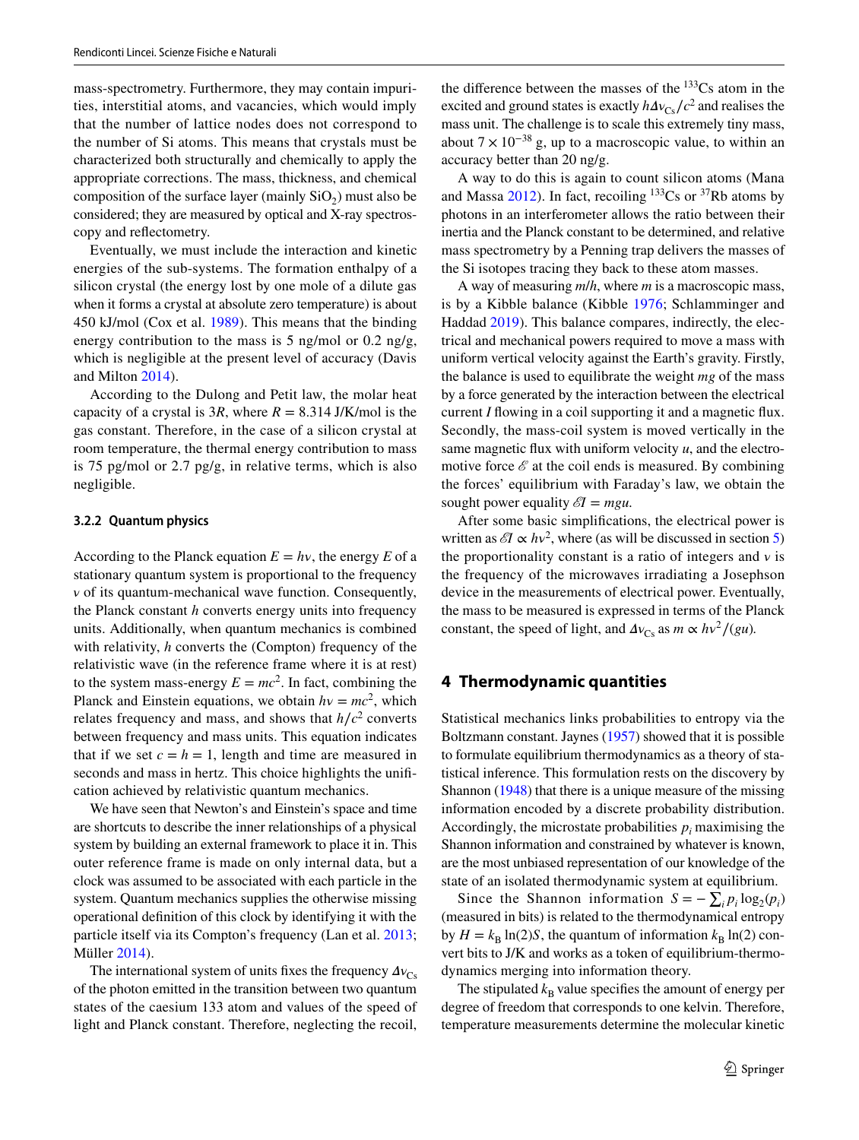mass-spectrometry. Furthermore, they may contain impurities, interstitial atoms, and vacancies, which would imply that the number of lattice nodes does not correspond to the number of Si atoms. This means that crystals must be characterized both structurally and chemically to apply the appropriate corrections. The mass, thickness, and chemical composition of the surface layer (mainly  $SiO<sub>2</sub>$ ) must also be considered; they are measured by optical and X-ray spectroscopy and refectometry.

Eventually, we must include the interaction and kinetic energies of the sub-systems. The formation enthalpy of a silicon crystal (the energy lost by one mole of a dilute gas when it forms a crystal at absolute zero temperature) is about 450 kJ/mol (Cox et al. [1989\)](#page-7-13). This means that the binding energy contribution to the mass is 5 ng/mol or 0.2 ng/g, which is negligible at the present level of accuracy (Davis and Milton [2014](#page-7-14)).

According to the Dulong and Petit law, the molar heat capacity of a crystal is  $3R$ , where  $R = 8.314$  J/K/mol is the gas constant. Therefore, in the case of a silicon crystal at room temperature, the thermal energy contribution to mass is 75 pg/mol or 2.7 pg/g, in relative terms, which is also negligible.

#### **3.2.2 Quantum physics**

According to the Planck equation  $E = hv$ , the energy *E* of a stationary quantum system is proportional to the frequency  $\nu$  of its quantum-mechanical wave function. Consequently, the Planck constant *h* converts energy units into frequency units. Additionally, when quantum mechanics is combined with relativity, *h* converts the (Compton) frequency of the relativistic wave (in the reference frame where it is at rest) to the system mass-energy  $E = mc^2$ . In fact, combining the Planck and Einstein equations, we obtain  $hv = mc^2$ , which relates frequency and mass, and shows that  $h/c^2$  converts between frequency and mass units. This equation indicates that if we set  $c = h = 1$ , length and time are measured in seconds and mass in hertz. This choice highlights the unifcation achieved by relativistic quantum mechanics.

We have seen that Newton's and Einstein's space and time are shortcuts to describe the inner relationships of a physical system by building an external framework to place it in. This outer reference frame is made on only internal data, but a clock was assumed to be associated with each particle in the system. Quantum mechanics supplies the otherwise missing operational defnition of this clock by identifying it with the particle itself via its Compton's frequency (Lan et al. [2013](#page-7-15); Müller [2014](#page-7-16)).

The international system of units fixes the frequency  $\Delta v_{\rm Cs}$ of the photon emitted in the transition between two quantum states of the caesium 133 atom and values of the speed of light and Planck constant. Therefore, neglecting the recoil,

the difference between the masses of the  $133$ Cs atom in the excited and ground states is exactly  $h\Delta v_{\text{Cs}}/c^2$  and realises the mass unit. The challenge is to scale this extremely tiny mass, about  $7 \times 10^{-38}$  g, up to a macroscopic value, to within an accuracy better than 20 ng/g.

A way to do this is again to count silicon atoms (Mana and Massa [2012](#page-7-17)). In fact, recoiling  $133Cs$  or  $37Rb$  atoms by photons in an interferometer allows the ratio between their inertia and the Planck constant to be determined, and relative mass spectrometry by a Penning trap delivers the masses of the Si isotopes tracing they back to these atom masses.

A way of measuring *m*/*h*, where *m* is a macroscopic mass, is by a Kibble balance (Kibble [1976;](#page-7-18) Schlamminger and Haddad [2019](#page-8-4)). This balance compares, indirectly, the electrical and mechanical powers required to move a mass with uniform vertical velocity against the Earth's gravity. Firstly, the balance is used to equilibrate the weight *mg* of the mass by a force generated by the interaction between the electrical current *I* flowing in a coil supporting it and a magnetic flux. Secondly, the mass-coil system is moved vertically in the same magnetic flux with uniform velocity  $u$ , and the electromotive force  $\mathscr E$  at the coil ends is measured. By combining the forces' equilibrium with Faraday's law, we obtain the sought power equality  $\mathscr{E}I = mgu$ .

After some basic simplifcations, the electrical power is written as  $\mathscr{E}I \propto hv^2$ , where (as will be discussed in section [5\)](#page-5-0) the proportionality constant is a ratio of integers and  $\nu$  is the frequency of the microwaves irradiating a Josephson device in the measurements of electrical power. Eventually, the mass to be measured is expressed in terms of the Planck constant, the speed of light, and  $\Delta v_{\text{Cs}}$  as  $m \propto h v^2 / (g u)$ .

### **4 Thermodynamic quantities**

Statistical mechanics links probabilities to entropy via the Boltzmann constant. Jaynes ([1957\)](#page-7-19) showed that it is possible to formulate equilibrium thermodynamics as a theory of statistical inference. This formulation rests on the discovery by Shannon [\(1948\)](#page-8-5) that there is a unique measure of the missing information encoded by a discrete probability distribution. Accordingly, the microstate probabilities  $p_i$  maximising the Shannon information and constrained by whatever is known, are the most unbiased representation of our knowledge of the state of an isolated thermodynamic system at equilibrium.

Since the Shannon information  $S = -\sum_i p_i \log_2(p_i)$ (measured in bits) is related to the thermodynamical entropy by  $H = k_B \ln(2)S$ , the quantum of information  $k_B \ln(2)$  convert bits to J/K and works as a token of equilibrium-thermodynamics merging into information theory.

The stipulated  $k<sub>B</sub>$  value specifies the amount of energy per degree of freedom that corresponds to one kelvin. Therefore, temperature measurements determine the molecular kinetic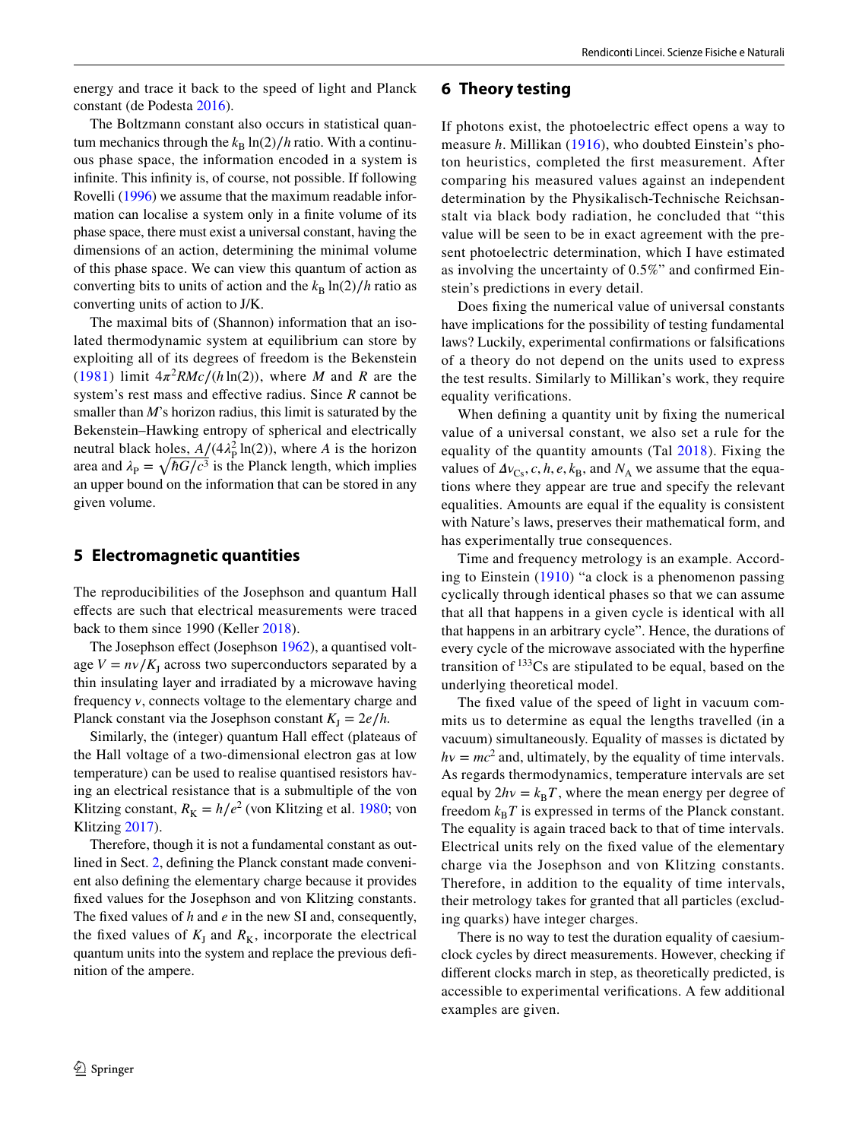energy and trace it back to the speed of light and Planck constant (de Podesta [2016](#page-7-20)).

The Boltzmann constant also occurs in statistical quantum mechanics through the  $k_B \ln(2)/h$  ratio. With a continuous phase space, the information encoded in a system is infnite. This infnity is, of course, not possible. If following Rovelli [\(1996](#page-8-6)) we assume that the maximum readable information can localise a system only in a fnite volume of its phase space, there must exist a universal constant, having the dimensions of an action, determining the minimal volume of this phase space. We can view this quantum of action as converting bits to units of action and the  $k_B \ln(2)/h$  ratio as converting units of action to J/K.

The maximal bits of (Shannon) information that an isolated thermodynamic system at equilibrium can store by exploiting all of its degrees of freedom is the Bekenstein ([1981\)](#page-7-21) limit  $4\pi^2 RMc/(h \ln(2))$ , where *M* and *R* are the system's rest mass and efective radius. Since *R* cannot be smaller than *M*'s horizon radius, this limit is saturated by the Bekenstein–Hawking entropy of spherical and electrically neutral black holes,  $A/((4\lambda_{\rm P}^2 \ln(2)))$ , where *A* is the horizon area and  $\lambda_{\rm P} = \sqrt{\hbar G/c^3}$  is the Planck length, which implies an upper bound on the information that can be stored in any given volume.

## <span id="page-5-0"></span>**5 Electromagnetic quantities**

The reproducibilities of the Josephson and quantum Hall efects are such that electrical measurements were traced back to them since 1990 (Keller [2018](#page-7-22)).

The Josephson effect (Josephson [1962\)](#page-7-23), a quantised voltage  $V = \frac{nv}{K_I}$  across two superconductors separated by a thin insulating layer and irradiated by a microwave having frequency *v*, connects voltage to the elementary charge and Planck constant via the Josephson constant  $K_I = 2e/h$ .

Similarly, the (integer) quantum Hall effect (plateaus of the Hall voltage of a two-dimensional electron gas at low temperature) can be used to realise quantised resistors having an electrical resistance that is a submultiple of the von Klitzing constant,  $R_K = h/e^2$  (von Klitzing et al. [1980;](#page-8-7) von Klitzing [2017\)](#page-8-8).

Therefore, though it is not a fundamental constant as outlined in Sect. [2,](#page-1-0) defning the Planck constant made convenient also defning the elementary charge because it provides fxed values for the Josephson and von Klitzing constants. The fxed values of *h* and *e* in the new SI and, consequently, the fixed values of  $K_J$  and  $R_K$ , incorporate the electrical quantum units into the system and replace the previous defnition of the ampere.

# $\circled{2}$  Springer

#### **6 Theory testing**

If photons exist, the photoelectric effect opens a way to measure *h*. Millikan ([1916\)](#page-7-24), who doubted Einstein's photon heuristics, completed the frst measurement. After comparing his measured values against an independent determination by the Physikalisch-Technische Reichsanstalt via black body radiation, he concluded that "this value will be seen to be in exact agreement with the present photoelectric determination, which I have estimated as involving the uncertainty of 0.5%" and confrmed Einstein's predictions in every detail.

Does fxing the numerical value of universal constants have implications for the possibility of testing fundamental laws? Luckily, experimental confrmations or falsifcations of a theory do not depend on the units used to express the test results. Similarly to Millikan's work, they require equality verifcations.

When defining a quantity unit by fixing the numerical value of a universal constant, we also set a rule for the equality of the quantity amounts (Tal [2018](#page-8-9)). Fixing the values of  $\Delta v_{Cs}$ , *c*, *h*, *e*,  $k_B$ , and  $N_A$  we assume that the equations where they appear are true and specify the relevant equalities. Amounts are equal if the equality is consistent with Nature's laws, preserves their mathematical form, and has experimentally true consequences.

Time and frequency metrology is an example. According to Einstein [\(1910\)](#page-7-25) "a clock is a phenomenon passing cyclically through identical phases so that we can assume that all that happens in a given cycle is identical with all that happens in an arbitrary cycle". Hence, the durations of every cycle of the microwave associated with the hyperfne transition of  $133Cs$  are stipulated to be equal, based on the underlying theoretical model.

The fxed value of the speed of light in vacuum commits us to determine as equal the lengths travelled (in a vacuum) simultaneously. Equality of masses is dictated by  $hv = mc^2$  and, ultimately, by the equality of time intervals. As regards thermodynamics, temperature intervals are set equal by  $2hv = k_B T$ , where the mean energy per degree of freedom  $k_B T$  is expressed in terms of the Planck constant. The equality is again traced back to that of time intervals. Electrical units rely on the fxed value of the elementary charge via the Josephson and von Klitzing constants. Therefore, in addition to the equality of time intervals, their metrology takes for granted that all particles (excluding quarks) have integer charges.

There is no way to test the duration equality of caesiumclock cycles by direct measurements. However, checking if diferent clocks march in step, as theoretically predicted, is accessible to experimental verifcations. A few additional examples are given.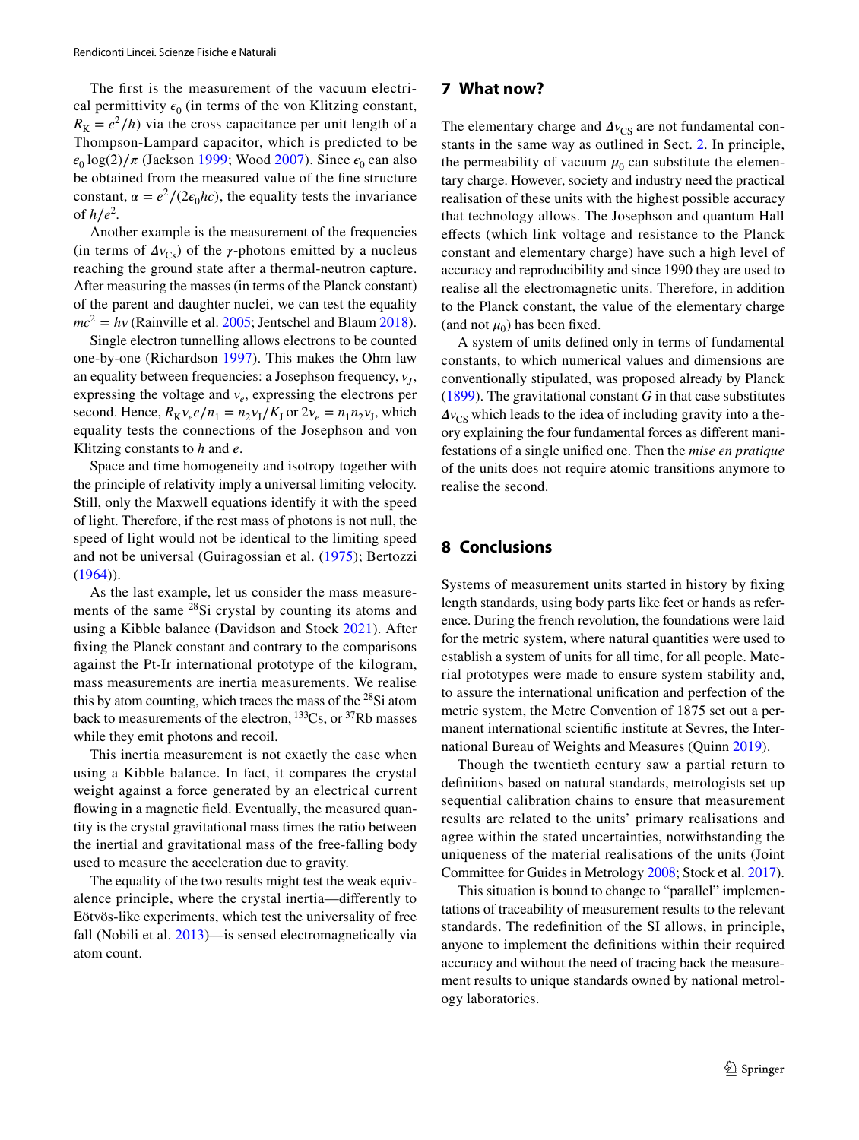The frst is the measurement of the vacuum electrical permittivity  $\epsilon_0$  (in terms of the von Klitzing constant,  $R_K = e^2/h$ ) via the cross capacitance per unit length of a Thompson-Lampard capacitor, which is predicted to be  $\epsilon_0 \log(2)/\pi$  (Jackson [1999](#page-7-26); Wood [2007](#page-8-10)). Since  $\epsilon_0$  can also be obtained from the measured value of the fne structure constant,  $\alpha = e^2/(2\epsilon_0 \hbar c)$ , the equality tests the invariance of  $h/e^2$ .

Another example is the measurement of the frequencies (in terms of  $\Delta v_{\text{Cs}}$ ) of the  $\gamma$ -photons emitted by a nucleus reaching the ground state after a thermal-neutron capture. After measuring the masses (in terms of the Planck constant) of the parent and daughter nuclei, we can test the equality  $mc^2 = hv$  (Rainville et al. [2005](#page-8-11); Jentschel and Blaum [2018](#page-7-27)).

Single electron tunnelling allows electrons to be counted one-by-one (Richardson [1997](#page-8-12)). This makes the Ohm law an equality between frequencies: a Josephson frequency,  $v_I$ , expressing the voltage and  $v_e$ , expressing the electrons per second. Hence,  $R_K v_e e / n_1 = n_2 v_\text{I} / K_\text{I}$  or  $2v_e = n_1 n_2 v_\text{I}$ , which equality tests the connections of the Josephson and von Klitzing constants to *h* and *e*.

Space and time homogeneity and isotropy together with the principle of relativity imply a universal limiting velocity. Still, only the Maxwell equations identify it with the speed of light. Therefore, if the rest mass of photons is not null, the speed of light would not be identical to the limiting speed and not be universal (Guiragossian et al. ([1975](#page-7-28)); Bertozzi  $(1964)$ ).

As the last example, let us consider the mass measurements of the same  $^{28}$ Si crystal by counting its atoms and using a Kibble balance (Davidson and Stock [2021](#page-7-30)). After fxing the Planck constant and contrary to the comparisons against the Pt-Ir international prototype of the kilogram, mass measurements are inertia measurements. We realise this by atom counting, which traces the mass of the  $28Si$  atom back to measurements of the electron,  $^{133}Cs$ , or  $^{37}Rb$  masses while they emit photons and recoil.

This inertia measurement is not exactly the case when using a Kibble balance. In fact, it compares the crystal weight against a force generated by an electrical current flowing in a magnetic field. Eventually, the measured quantity is the crystal gravitational mass times the ratio between the inertial and gravitational mass of the free-falling body used to measure the acceleration due to gravity.

The equality of the two results might test the weak equivalence principle, where the crystal inertia—diferently to Eötvös-like experiments, which test the universality of free fall (Nobili et al. [2013\)](#page-7-31)—is sensed electromagnetically via atom count.

#### **7 What now?**

The elementary charge and  $\Delta v_{\text{CS}}$  are not fundamental constants in the same way as outlined in Sect. [2](#page-1-0). In principle, the permeability of vacuum  $\mu_0$  can substitute the elementary charge. However, society and industry need the practical realisation of these units with the highest possible accuracy that technology allows. The Josephson and quantum Hall efects (which link voltage and resistance to the Planck constant and elementary charge) have such a high level of accuracy and reproducibility and since 1990 they are used to realise all the electromagnetic units. Therefore, in addition to the Planck constant, the value of the elementary charge (and not  $\mu_0$ ) has been fixed.

A system of units defned only in terms of fundamental constants, to which numerical values and dimensions are conventionally stipulated, was proposed already by Planck ([1899\)](#page-8-13). The gravitational constant *G* in that case substitutes  $\Delta v_{\rm CS}$  which leads to the idea of including gravity into a theory explaining the four fundamental forces as diferent manifestations of a single unifed one. Then the *mise en pratique* of the units does not require atomic transitions anymore to realise the second.

## **8 Conclusions**

Systems of measurement units started in history by fxing length standards, using body parts like feet or hands as reference. During the french revolution, the foundations were laid for the metric system, where natural quantities were used to establish a system of units for all time, for all people. Material prototypes were made to ensure system stability and, to assure the international unifcation and perfection of the metric system, the Metre Convention of 1875 set out a permanent international scientifc institute at Sevres, the International Bureau of Weights and Measures (Quinn [2019\)](#page-8-14).

Though the twentieth century saw a partial return to defnitions based on natural standards, metrologists set up sequential calibration chains to ensure that measurement results are related to the units' primary realisations and agree within the stated uncertainties, notwithstanding the uniqueness of the material realisations of the units (Joint Committee for Guides in Metrology [2008;](#page-7-32) Stock et al. [2017](#page-8-15)).

This situation is bound to change to "parallel" implementations of traceability of measurement results to the relevant standards. The redefnition of the SI allows, in principle, anyone to implement the defnitions within their required accuracy and without the need of tracing back the measurement results to unique standards owned by national metrology laboratories.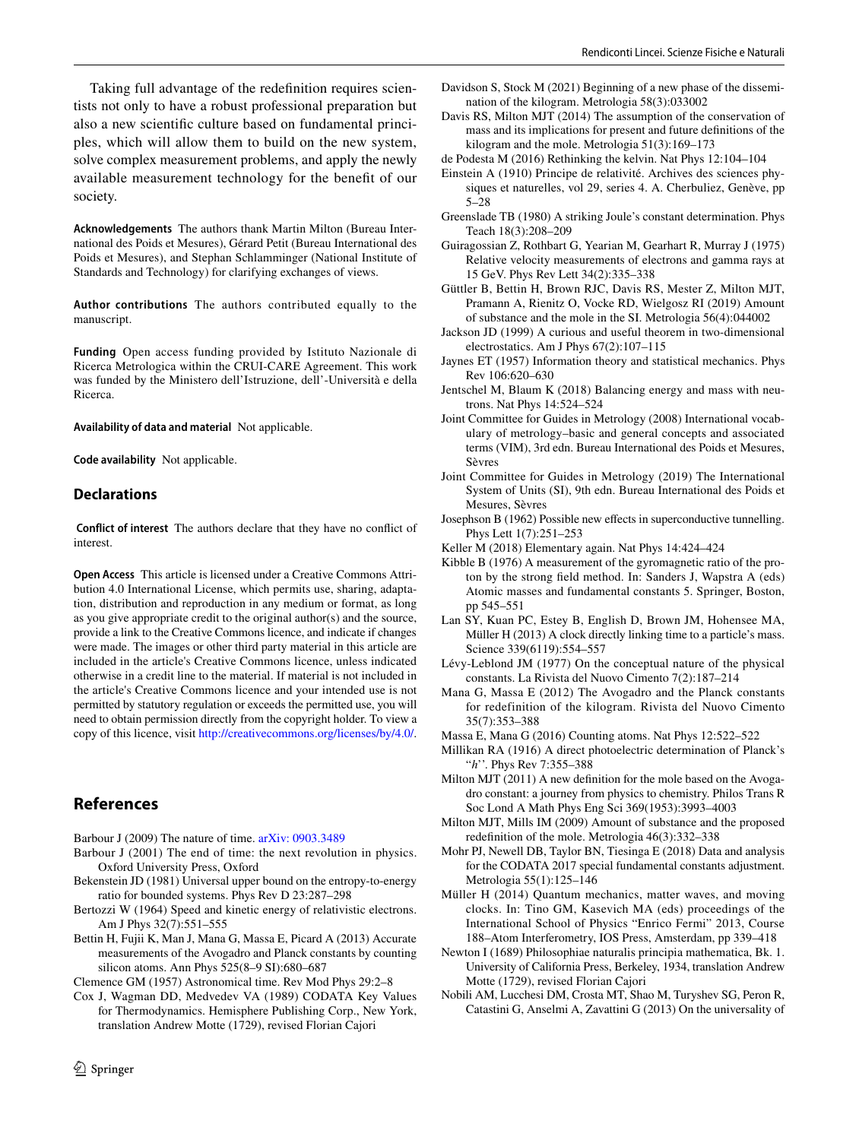Taking full advantage of the redefnition requires scientists not only to have a robust professional preparation but also a new scientifc culture based on fundamental principles, which will allow them to build on the new system, solve complex measurement problems, and apply the newly available measurement technology for the beneft of our society.

**Acknowledgements** The authors thank Martin Milton (Bureau International des Poids et Mesures), Gérard Petit (Bureau International des Poids et Mesures), and Stephan Schlamminger (National Institute of Standards and Technology) for clarifying exchanges of views.

**Author contributions** The authors contributed equally to the manuscript.

**Funding** Open access funding provided by Istituto Nazionale di Ricerca Metrologica within the CRUI-CARE Agreement. This work was funded by the Ministero dell'Istruzione, dell'-Università e della Ricerca.

**Availability of data and material** Not applicable.

**Code availability** Not applicable.

#### **Declarations**

 **Conflict of interest** The authors declare that they have no confict of interest.

**Open Access** This article is licensed under a Creative Commons Attribution 4.0 International License, which permits use, sharing, adaptation, distribution and reproduction in any medium or format, as long as you give appropriate credit to the original author(s) and the source, provide a link to the Creative Commons licence, and indicate if changes were made. The images or other third party material in this article are included in the article's Creative Commons licence, unless indicated otherwise in a credit line to the material. If material is not included in the article's Creative Commons licence and your intended use is not permitted by statutory regulation or exceeds the permitted use, you will need to obtain permission directly from the copyright holder. To view a copy of this licence, visit <http://creativecommons.org/licenses/by/4.0/>.

# **References**

<span id="page-7-10"></span>Barbour J (2009) The nature of time. [arXiv: 0903.3489](http://arxiv.org/abs/0903.3489)

- <span id="page-7-9"></span>Barbour J (2001) The end of time: the next revolution in physics. Oxford University Press, Oxford
- <span id="page-7-21"></span>Bekenstein JD (1981) Universal upper bound on the entropy-to-energy ratio for bounded systems. Phys Rev D 23:287–298
- <span id="page-7-29"></span>Bertozzi W (1964) Speed and kinetic energy of relativistic electrons. Am J Phys 32(7):551–555
- <span id="page-7-12"></span>Bettin H, Fujii K, Man J, Mana G, Massa E, Picard A (2013) Accurate measurements of the Avogadro and Planck constants by counting silicon atoms. Ann Phys 525(8–9 SI):680–687

<span id="page-7-11"></span>Clemence GM (1957) Astronomical time. Rev Mod Phys 29:2–8

<span id="page-7-13"></span>Cox J, Wagman DD, Medvedev VA (1989) CODATA Key Values for Thermodynamics. Hemisphere Publishing Corp., New York, translation Andrew Motte (1729), revised Florian Cajori

- <span id="page-7-30"></span>Davidson S, Stock M (2021) Beginning of a new phase of the dissemination of the kilogram. Metrologia 58(3):033002
- <span id="page-7-14"></span>Davis RS, Milton MJT (2014) The assumption of the conservation of mass and its implications for present and future defnitions of the kilogram and the mole. Metrologia 51(3):169–173
- <span id="page-7-20"></span>de Podesta M (2016) Rethinking the kelvin. Nat Phys 12:104–104
- <span id="page-7-25"></span>Einstein A (1910) Principe de relativité. Archives des sciences physiques et naturelles, vol 29, series 4. A. Cherbuliez, Genève, pp 5–28
- <span id="page-7-4"></span>Greenslade TB (1980) A striking Joule's constant determination. Phys Teach 18(3):208–209
- <span id="page-7-28"></span>Guiragossian Z, Rothbart G, Yearian M, Gearhart R, Murray J (1975) Relative velocity measurements of electrons and gamma rays at 15 GeV. Phys Rev Lett 34(2):335–338
- <span id="page-7-7"></span>Güttler B, Bettin H, Brown RJC, Davis RS, Mester Z, Milton MJT, Pramann A, Rienitz O, Vocke RD, Wielgosz RI (2019) Amount of substance and the mole in the SI. Metrologia 56(4):044002
- <span id="page-7-26"></span>Jackson JD (1999) A curious and useful theorem in two-dimensional electrostatics. Am J Phys 67(2):107–115
- <span id="page-7-19"></span>Jaynes ET (1957) Information theory and statistical mechanics. Phys Rev 106:620–630
- <span id="page-7-27"></span>Jentschel M, Blaum K (2018) Balancing energy and mass with neutrons. Nat Phys 14:524–524
- <span id="page-7-32"></span>Joint Committee for Guides in Metrology (2008) International vocabulary of metrology–basic and general concepts and associated terms (VIM), 3rd edn. Bureau International des Poids et Mesures, Sèvres
- <span id="page-7-0"></span>Joint Committee for Guides in Metrology (2019) The International System of Units (SI), 9th edn. Bureau International des Poids et Mesures, Sèvres
- <span id="page-7-23"></span>Josephson B (1962) Possible new effects in superconductive tunnelling. Phys Lett 1(7):251–253
- <span id="page-7-22"></span>Keller M (2018) Elementary again. Nat Phys 14:424–424
- <span id="page-7-18"></span>Kibble B (1976) A measurement of the gyromagnetic ratio of the proton by the strong feld method. In: Sanders J, Wapstra A (eds) Atomic masses and fundamental constants 5. Springer, Boston, pp 545–551
- <span id="page-7-15"></span>Lan SY, Kuan PC, Estey B, English D, Brown JM, Hohensee MA, Müller H (2013) A clock directly linking time to a particle's mass. Science 339(6119):554–557
- <span id="page-7-2"></span>Lévy-Leblond JM (1977) On the conceptual nature of the physical constants. La Rivista del Nuovo Cimento 7(2):187–214
- <span id="page-7-17"></span>Mana G, Massa E (2012) The Avogadro and the Planck constants for redefinition of the kilogram. Rivista del Nuovo Cimento 35(7):353–388

<span id="page-7-6"></span>Massa E, Mana G (2016) Counting atoms. Nat Phys 12:522–522

<span id="page-7-24"></span>Millikan RA (1916) A direct photoelectric determination of Planck's "*h*''. Phys Rev 7:355–388

- <span id="page-7-5"></span>Milton MJT (2011) A new defnition for the mole based on the Avogadro constant: a journey from physics to chemistry. Philos Trans R Soc Lond A Math Phys Eng Sci 369(1953):3993–4003
- <span id="page-7-8"></span>Milton MJT, Mills IM (2009) Amount of substance and the proposed redefnition of the mole. Metrologia 46(3):332–338
- <span id="page-7-1"></span>Mohr PJ, Newell DB, Taylor BN, Tiesinga E (2018) Data and analysis for the CODATA 2017 special fundamental constants adjustment. Metrologia 55(1):125–146
- <span id="page-7-16"></span>Müller H (2014) Quantum mechanics, matter waves, and moving clocks. In: Tino GM, Kasevich MA (eds) proceedings of the International School of Physics "Enrico Fermi" 2013, Course 188–Atom Interferometry, IOS Press, Amsterdam, pp 339–418
- <span id="page-7-3"></span>Newton I (1689) Philosophiae naturalis principia mathematica, Bk. 1. University of California Press, Berkeley, 1934, translation Andrew Motte (1729), revised Florian Cajori
- <span id="page-7-31"></span>Nobili AM, Lucchesi DM, Crosta MT, Shao M, Turyshev SG, Peron R, Catastini G, Anselmi A, Zavattini G (2013) On the universality of